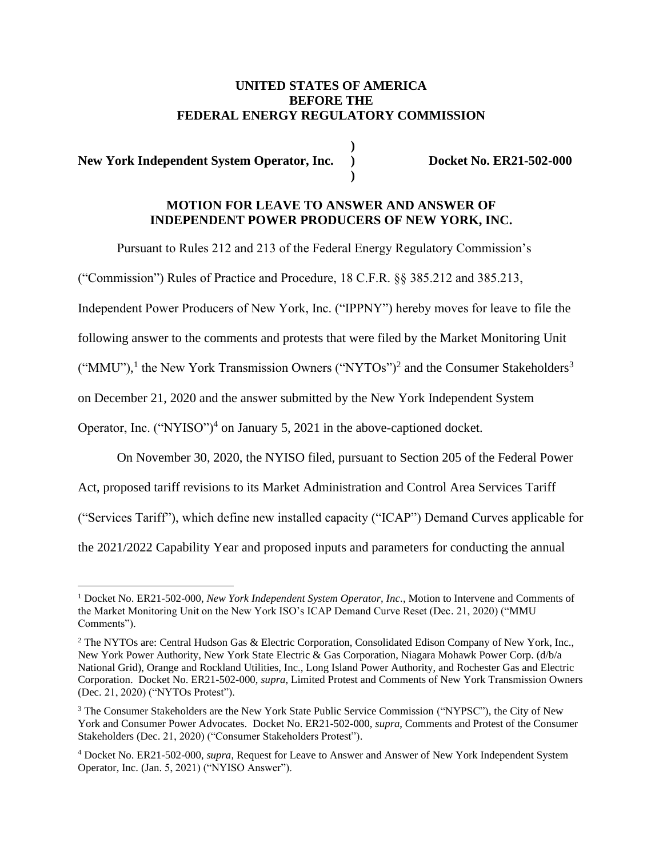### **UNITED STATES OF AMERICA BEFORE THE FEDERAL ENERGY REGULATORY COMMISSION**

**)**

**)**

**New York Independent System Operator, Inc. ) Docket No. ER21-502-000**

# **MOTION FOR LEAVE TO ANSWER AND ANSWER OF INDEPENDENT POWER PRODUCERS OF NEW YORK, INC.**

Pursuant to Rules 212 and 213 of the Federal Energy Regulatory Commission's

("Commission") Rules of Practice and Procedure, 18 C.F.R. §§ 385.212 and 385.213,

Independent Power Producers of New York, Inc. ("IPPNY") hereby moves for leave to file the

following answer to the comments and protests that were filed by the Market Monitoring Unit

("MMU"),<sup>1</sup> the New York Transmission Owners ("NYTOs")<sup>2</sup> and the Consumer Stakeholders<sup>3</sup>

on December 21, 2020 and the answer submitted by the New York Independent System

Operator, Inc. ("NYISO")<sup>4</sup> on January 5, 2021 in the above-captioned docket.

On November 30, 2020, the NYISO filed, pursuant to Section 205 of the Federal Power

Act, proposed tariff revisions to its Market Administration and Control Area Services Tariff

("Services Tariff"), which define new installed capacity ("ICAP") Demand Curves applicable for

the 2021/2022 Capability Year and proposed inputs and parameters for conducting the annual

<sup>1</sup> Docket No. ER21-502-000, *New York Independent System Operator, Inc.*, Motion to Intervene and Comments of the Market Monitoring Unit on the New York ISO's ICAP Demand Curve Reset (Dec. 21, 2020) ("MMU Comments").

<sup>&</sup>lt;sup>2</sup> The NYTOs are: Central Hudson Gas & Electric Corporation, Consolidated Edison Company of New York, Inc., New York Power Authority, New York State Electric & Gas Corporation, Niagara Mohawk Power Corp. (d/b/a National Grid), Orange and Rockland Utilities, Inc., Long Island Power Authority, and Rochester Gas and Electric Corporation. Docket No. ER21-502-000, *supra*, Limited Protest and Comments of New York Transmission Owners (Dec. 21, 2020) ("NYTOs Protest").

<sup>&</sup>lt;sup>3</sup> The Consumer Stakeholders are the New York State Public Service Commission ("NYPSC"), the City of New York and Consumer Power Advocates. Docket No. ER21-502-000, *supra*, Comments and Protest of the Consumer Stakeholders (Dec. 21, 2020) ("Consumer Stakeholders Protest").

<sup>4</sup> Docket No. ER21-502-000, *supra*, Request for Leave to Answer and Answer of New York Independent System Operator, Inc. (Jan. 5, 2021) ("NYISO Answer").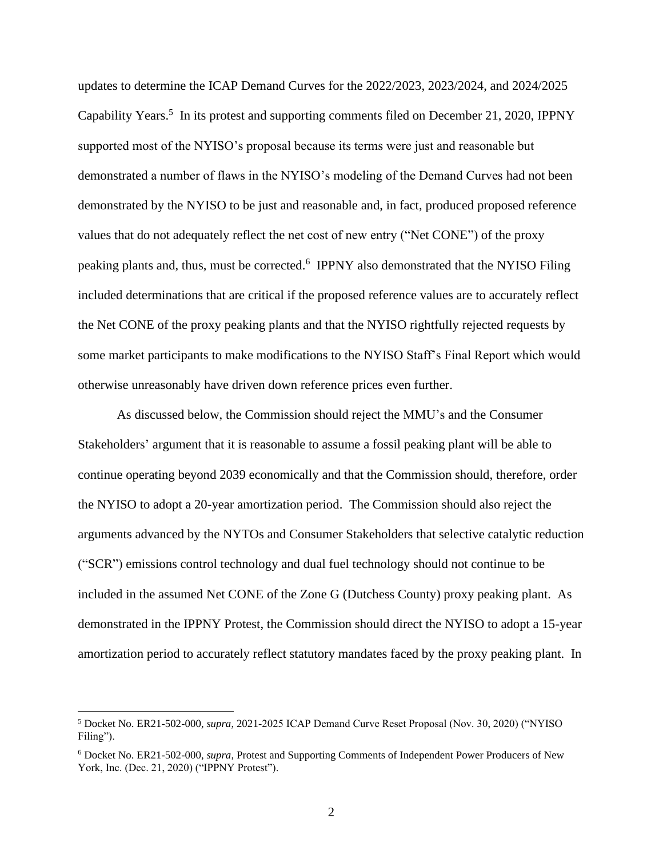updates to determine the ICAP Demand Curves for the 2022/2023, 2023/2024, and 2024/2025 Capability Years.<sup>5</sup> In its protest and supporting comments filed on December 21, 2020, IPPNY supported most of the NYISO's proposal because its terms were just and reasonable but demonstrated a number of flaws in the NYISO's modeling of the Demand Curves had not been demonstrated by the NYISO to be just and reasonable and, in fact, produced proposed reference values that do not adequately reflect the net cost of new entry ("Net CONE") of the proxy peaking plants and, thus, must be corrected.<sup>6</sup> IPPNY also demonstrated that the NYISO Filing included determinations that are critical if the proposed reference values are to accurately reflect the Net CONE of the proxy peaking plants and that the NYISO rightfully rejected requests by some market participants to make modifications to the NYISO Staff's Final Report which would otherwise unreasonably have driven down reference prices even further.

As discussed below, the Commission should reject the MMU's and the Consumer Stakeholders' argument that it is reasonable to assume a fossil peaking plant will be able to continue operating beyond 2039 economically and that the Commission should, therefore, order the NYISO to adopt a 20-year amortization period. The Commission should also reject the arguments advanced by the NYTOs and Consumer Stakeholders that selective catalytic reduction ("SCR") emissions control technology and dual fuel technology should not continue to be included in the assumed Net CONE of the Zone G (Dutchess County) proxy peaking plant. As demonstrated in the IPPNY Protest, the Commission should direct the NYISO to adopt a 15-year amortization period to accurately reflect statutory mandates faced by the proxy peaking plant. In

<sup>5</sup> Docket No. ER21-502-000, *supra*, 2021-2025 ICAP Demand Curve Reset Proposal (Nov. 30, 2020) ("NYISO Filing").

<sup>6</sup> Docket No. ER21-502-000, *supra*, Protest and Supporting Comments of Independent Power Producers of New York, Inc. (Dec. 21, 2020) ("IPPNY Protest").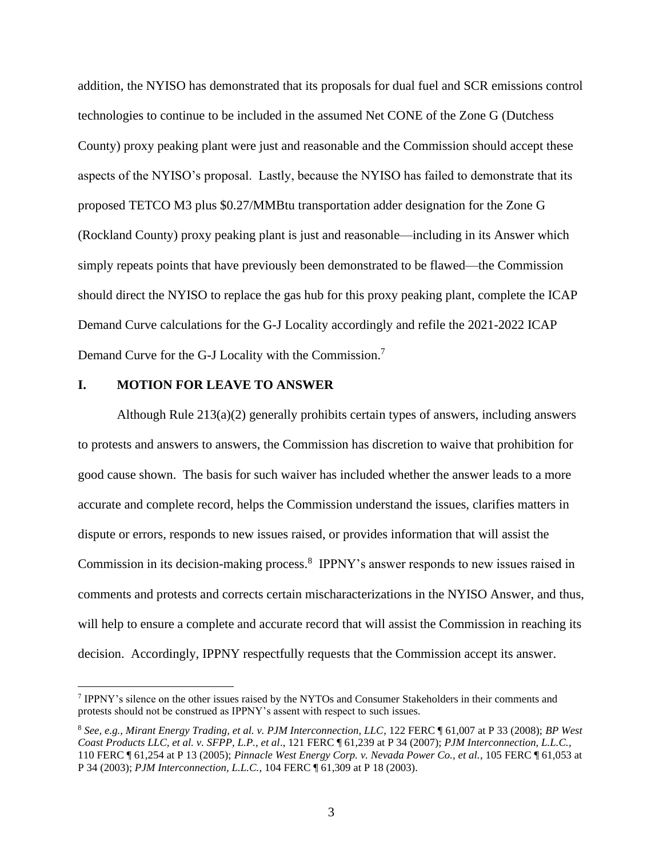addition, the NYISO has demonstrated that its proposals for dual fuel and SCR emissions control technologies to continue to be included in the assumed Net CONE of the Zone G (Dutchess County) proxy peaking plant were just and reasonable and the Commission should accept these aspects of the NYISO's proposal. Lastly, because the NYISO has failed to demonstrate that its proposed TETCO M3 plus \$0.27/MMBtu transportation adder designation for the Zone G (Rockland County) proxy peaking plant is just and reasonable—including in its Answer which simply repeats points that have previously been demonstrated to be flawed—the Commission should direct the NYISO to replace the gas hub for this proxy peaking plant, complete the ICAP Demand Curve calculations for the G-J Locality accordingly and refile the 2021-2022 ICAP Demand Curve for the G-J Locality with the Commission.<sup>7</sup>

#### **I. MOTION FOR LEAVE TO ANSWER**

Although Rule 213(a)(2) generally prohibits certain types of answers, including answers to protests and answers to answers, the Commission has discretion to waive that prohibition for good cause shown. The basis for such waiver has included whether the answer leads to a more accurate and complete record, helps the Commission understand the issues, clarifies matters in dispute or errors, responds to new issues raised, or provides information that will assist the Commission in its decision-making process.<sup>8</sup> IPPNY's answer responds to new issues raised in comments and protests and corrects certain mischaracterizations in the NYISO Answer, and thus, will help to ensure a complete and accurate record that will assist the Commission in reaching its decision. Accordingly, IPPNY respectfully requests that the Commission accept its answer.

<sup>7</sup> IPPNY's silence on the other issues raised by the NYTOs and Consumer Stakeholders in their comments and protests should not be construed as IPPNY's assent with respect to such issues.

<sup>8</sup> *See, e.g., Mirant Energy Trading, et al. v. PJM Interconnection, LLC*, 122 FERC ¶ 61,007 at P 33 (2008); *BP West Coast Products LLC, et al. v. SFPP, L.P., et al*., 121 FERC ¶ 61,239 at P 34 (2007); *PJM Interconnection, L.L.C.*, 110 FERC ¶ 61,254 at P 13 (2005); *Pinnacle West Energy Corp. v. Nevada Power Co., et al.*, 105 FERC ¶ 61,053 at P 34 (2003); *PJM Interconnection, L.L.C.*, 104 FERC ¶ 61,309 at P 18 (2003).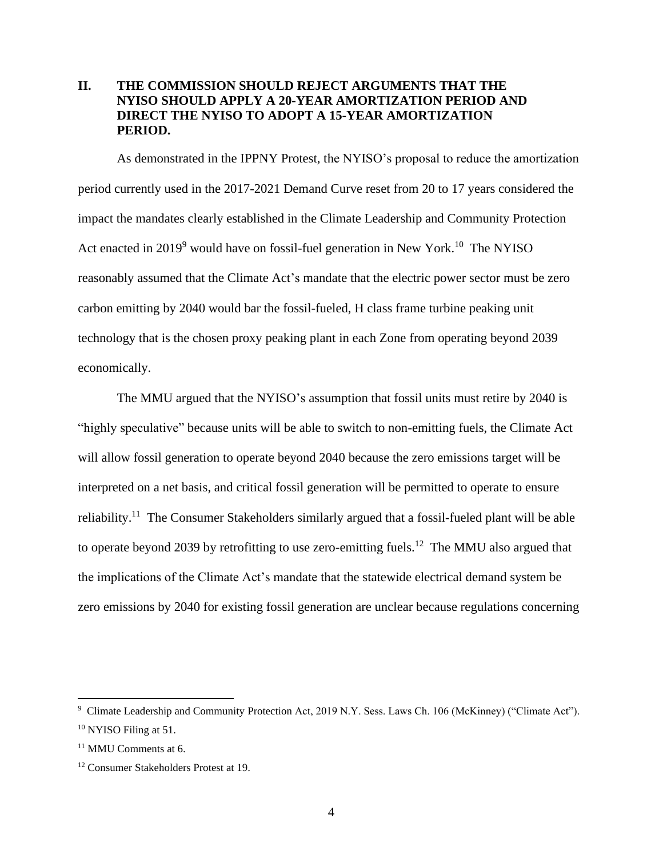## **II. THE COMMISSION SHOULD REJECT ARGUMENTS THAT THE NYISO SHOULD APPLY A 20-YEAR AMORTIZATION PERIOD AND DIRECT THE NYISO TO ADOPT A 15-YEAR AMORTIZATION PERIOD.**

As demonstrated in the IPPNY Protest, the NYISO's proposal to reduce the amortization period currently used in the 2017-2021 Demand Curve reset from 20 to 17 years considered the impact the mandates clearly established in the Climate Leadership and Community Protection Act enacted in  $2019^9$  would have on fossil-fuel generation in New York.<sup>10</sup> The NYISO reasonably assumed that the Climate Act's mandate that the electric power sector must be zero carbon emitting by 2040 would bar the fossil-fueled, H class frame turbine peaking unit technology that is the chosen proxy peaking plant in each Zone from operating beyond 2039 economically.

The MMU argued that the NYISO's assumption that fossil units must retire by 2040 is "highly speculative" because units will be able to switch to non-emitting fuels, the Climate Act will allow fossil generation to operate beyond 2040 because the zero emissions target will be interpreted on a net basis, and critical fossil generation will be permitted to operate to ensure reliability.<sup>11</sup> The Consumer Stakeholders similarly argued that a fossil-fueled plant will be able to operate beyond 2039 by retrofitting to use zero-emitting fuels.<sup>12</sup> The MMU also argued that the implications of the Climate Act's mandate that the statewide electrical demand system be zero emissions by 2040 for existing fossil generation are unclear because regulations concerning

<sup>9</sup> Climate Leadership and Community Protection Act, 2019 N.Y. Sess. Laws Ch. 106 (McKinney) ("Climate Act"). <sup>10</sup> NYISO Filing at 51.

<sup>11</sup> MMU Comments at 6.

<sup>12</sup> Consumer Stakeholders Protest at 19.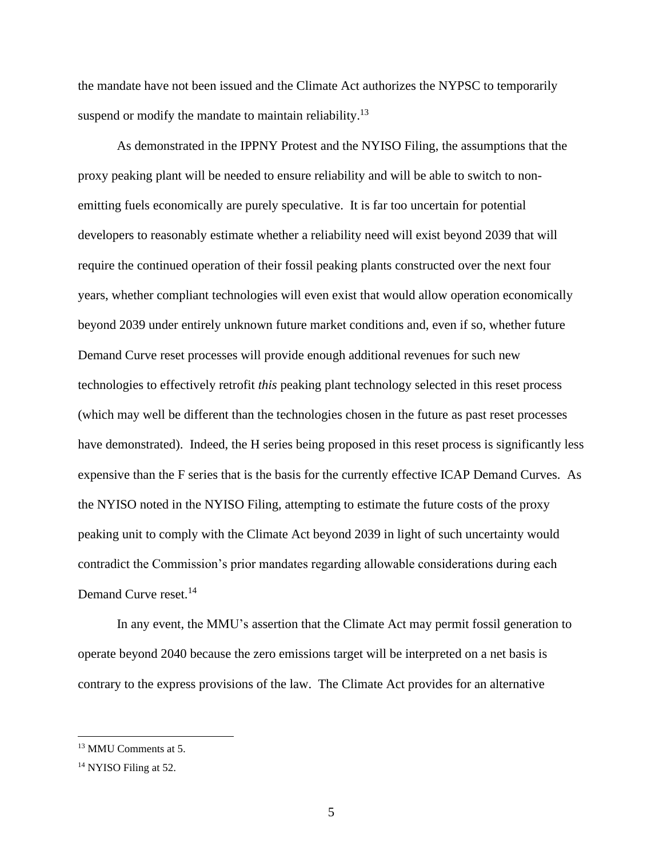the mandate have not been issued and the Climate Act authorizes the NYPSC to temporarily suspend or modify the mandate to maintain reliability.<sup>13</sup>

As demonstrated in the IPPNY Protest and the NYISO Filing, the assumptions that the proxy peaking plant will be needed to ensure reliability and will be able to switch to nonemitting fuels economically are purely speculative. It is far too uncertain for potential developers to reasonably estimate whether a reliability need will exist beyond 2039 that will require the continued operation of their fossil peaking plants constructed over the next four years, whether compliant technologies will even exist that would allow operation economically beyond 2039 under entirely unknown future market conditions and, even if so, whether future Demand Curve reset processes will provide enough additional revenues for such new technologies to effectively retrofit *this* peaking plant technology selected in this reset process (which may well be different than the technologies chosen in the future as past reset processes have demonstrated). Indeed, the H series being proposed in this reset process is significantly less expensive than the F series that is the basis for the currently effective ICAP Demand Curves. As the NYISO noted in the NYISO Filing, attempting to estimate the future costs of the proxy peaking unit to comply with the Climate Act beyond 2039 in light of such uncertainty would contradict the Commission's prior mandates regarding allowable considerations during each Demand Curve reset.<sup>14</sup>

In any event, the MMU's assertion that the Climate Act may permit fossil generation to operate beyond 2040 because the zero emissions target will be interpreted on a net basis is contrary to the express provisions of the law. The Climate Act provides for an alternative

<sup>13</sup> MMU Comments at 5.

<sup>&</sup>lt;sup>14</sup> NYISO Filing at 52.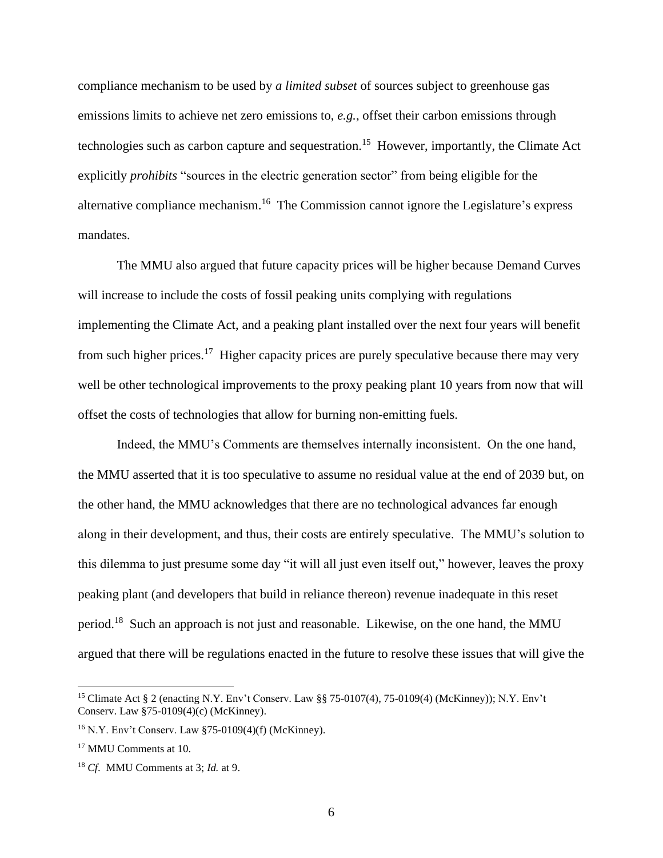compliance mechanism to be used by *a limited subset* of sources subject to greenhouse gas emissions limits to achieve net zero emissions to, *e.g.*, offset their carbon emissions through technologies such as carbon capture and sequestration.<sup>15</sup> However, importantly, the Climate Act explicitly *prohibits* "sources in the electric generation sector" from being eligible for the alternative compliance mechanism.<sup>16</sup> The Commission cannot ignore the Legislature's express mandates.

The MMU also argued that future capacity prices will be higher because Demand Curves will increase to include the costs of fossil peaking units complying with regulations implementing the Climate Act, and a peaking plant installed over the next four years will benefit from such higher prices.<sup>17</sup> Higher capacity prices are purely speculative because there may very well be other technological improvements to the proxy peaking plant 10 years from now that will offset the costs of technologies that allow for burning non-emitting fuels.

Indeed, the MMU's Comments are themselves internally inconsistent. On the one hand, the MMU asserted that it is too speculative to assume no residual value at the end of 2039 but, on the other hand, the MMU acknowledges that there are no technological advances far enough along in their development, and thus, their costs are entirely speculative. The MMU's solution to this dilemma to just presume some day "it will all just even itself out," however, leaves the proxy peaking plant (and developers that build in reliance thereon) revenue inadequate in this reset period.<sup>18</sup> Such an approach is not just and reasonable. Likewise, on the one hand, the MMU argued that there will be regulations enacted in the future to resolve these issues that will give the

<sup>15</sup> Climate Act § 2 (enacting N.Y. Env't Conserv. Law §§ 75-0107(4), 75-0109(4) (McKinney)); N.Y. Env't Conserv. Law §75-0109(4)(c) (McKinney).

<sup>16</sup> N.Y. Env't Conserv. Law §75-0109(4)(f) (McKinney).

<sup>17</sup> MMU Comments at 10.

<sup>18</sup> *Cf*. MMU Comments at 3; *Id.* at 9.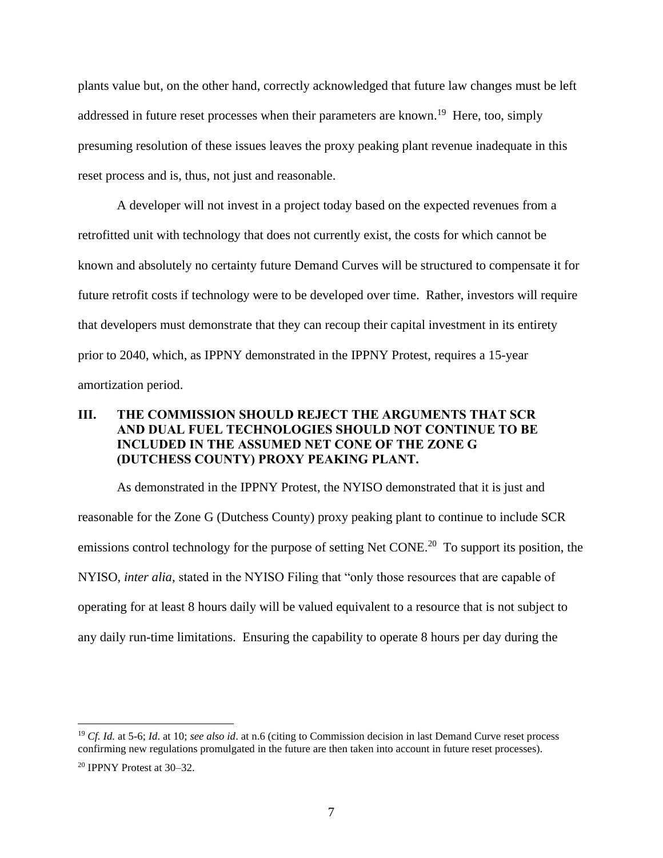plants value but, on the other hand, correctly acknowledged that future law changes must be left addressed in future reset processes when their parameters are known.<sup>19</sup> Here, too, simply presuming resolution of these issues leaves the proxy peaking plant revenue inadequate in this reset process and is, thus, not just and reasonable.

A developer will not invest in a project today based on the expected revenues from a retrofitted unit with technology that does not currently exist, the costs for which cannot be known and absolutely no certainty future Demand Curves will be structured to compensate it for future retrofit costs if technology were to be developed over time. Rather, investors will require that developers must demonstrate that they can recoup their capital investment in its entirety prior to 2040, which, as IPPNY demonstrated in the IPPNY Protest, requires a 15-year amortization period.

### **III. THE COMMISSION SHOULD REJECT THE ARGUMENTS THAT SCR AND DUAL FUEL TECHNOLOGIES SHOULD NOT CONTINUE TO BE INCLUDED IN THE ASSUMED NET CONE OF THE ZONE G (DUTCHESS COUNTY) PROXY PEAKING PLANT.**

As demonstrated in the IPPNY Protest, the NYISO demonstrated that it is just and reasonable for the Zone G (Dutchess County) proxy peaking plant to continue to include SCR emissions control technology for the purpose of setting Net CONE.<sup>20</sup> To support its position, the NYISO, *inter alia*, stated in the NYISO Filing that "only those resources that are capable of operating for at least 8 hours daily will be valued equivalent to a resource that is not subject to any daily run-time limitations. Ensuring the capability to operate 8 hours per day during the

<sup>19</sup> *Cf. Id.* at 5-6; *Id*. at 10; *see also id*. at n.6 (citing to Commission decision in last Demand Curve reset process confirming new regulations promulgated in the future are then taken into account in future reset processes).

<sup>20</sup> IPPNY Protest at 30–32.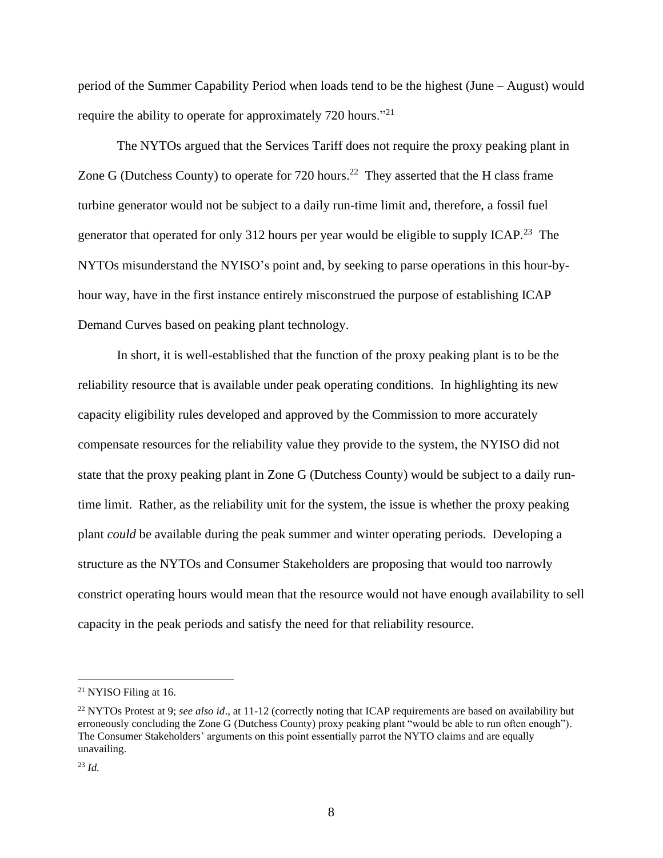period of the Summer Capability Period when loads tend to be the highest (June – August) would require the ability to operate for approximately 720 hours."<sup>21</sup>

The NYTOs argued that the Services Tariff does not require the proxy peaking plant in Zone G (Dutchess County) to operate for 720 hours.<sup>22</sup> They asserted that the H class frame turbine generator would not be subject to a daily run-time limit and, therefore, a fossil fuel generator that operated for only 312 hours per year would be eligible to supply ICAP.<sup>23</sup> The NYTOs misunderstand the NYISO's point and, by seeking to parse operations in this hour-byhour way, have in the first instance entirely misconstrued the purpose of establishing ICAP Demand Curves based on peaking plant technology.

In short, it is well-established that the function of the proxy peaking plant is to be the reliability resource that is available under peak operating conditions. In highlighting its new capacity eligibility rules developed and approved by the Commission to more accurately compensate resources for the reliability value they provide to the system, the NYISO did not state that the proxy peaking plant in Zone G (Dutchess County) would be subject to a daily runtime limit. Rather, as the reliability unit for the system, the issue is whether the proxy peaking plant *could* be available during the peak summer and winter operating periods. Developing a structure as the NYTOs and Consumer Stakeholders are proposing that would too narrowly constrict operating hours would mean that the resource would not have enough availability to sell capacity in the peak periods and satisfy the need for that reliability resource.

<sup>21</sup> NYISO Filing at 16.

<sup>&</sup>lt;sup>22</sup> NYTOs Protest at 9; *see also id.*, at 11-12 (correctly noting that ICAP requirements are based on availability but erroneously concluding the Zone G (Dutchess County) proxy peaking plant "would be able to run often enough"). The Consumer Stakeholders' arguments on this point essentially parrot the NYTO claims and are equally unavailing.

<sup>23</sup> *Id.*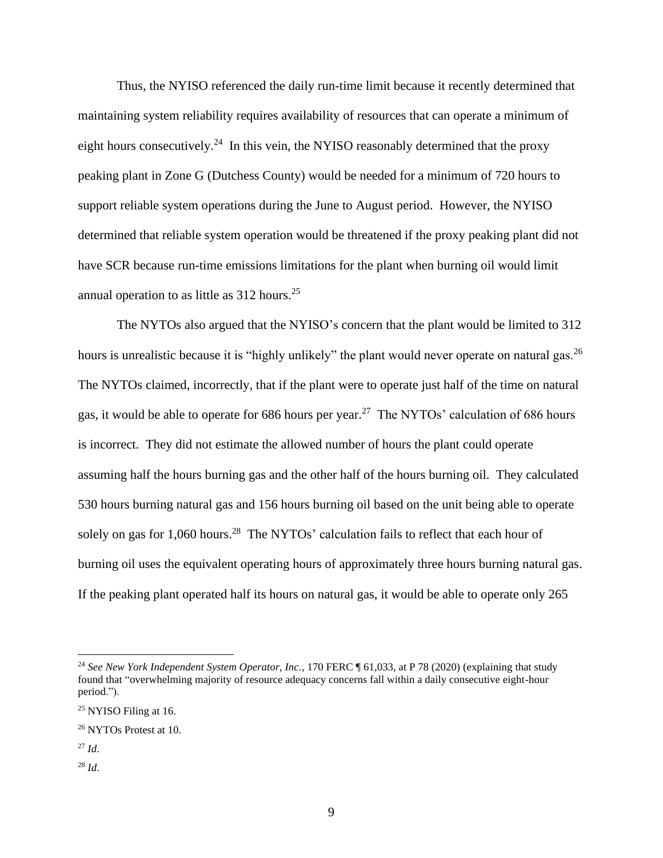Thus, the NYISO referenced the daily run-time limit because it recently determined that maintaining system reliability requires availability of resources that can operate a minimum of eight hours consecutively.<sup>24</sup> In this vein, the NYISO reasonably determined that the proxy peaking plant in Zone G (Dutchess County) would be needed for a minimum of 720 hours to support reliable system operations during the June to August period. However, the NYISO determined that reliable system operation would be threatened if the proxy peaking plant did not have SCR because run-time emissions limitations for the plant when burning oil would limit annual operation to as little as  $312$  hours.<sup>25</sup>

The NYTOs also argued that the NYISO's concern that the plant would be limited to 312 hours is unrealistic because it is "highly unlikely" the plant would never operate on natural gas.<sup>26</sup> The NYTOs claimed, incorrectly, that if the plant were to operate just half of the time on natural gas, it would be able to operate for 686 hours per year.<sup>27</sup> The NYTOs' calculation of 686 hours is incorrect. They did not estimate the allowed number of hours the plant could operate assuming half the hours burning gas and the other half of the hours burning oil. They calculated 530 hours burning natural gas and 156 hours burning oil based on the unit being able to operate solely on gas for 1,060 hours.<sup>28</sup> The NYTOs' calculation fails to reflect that each hour of burning oil uses the equivalent operating hours of approximately three hours burning natural gas. If the peaking plant operated half its hours on natural gas, it would be able to operate only 265

- <sup>27</sup> *Id*.
- <sup>28</sup> *Id*.

<sup>&</sup>lt;sup>24</sup> See New York Independent System Operator, Inc., 170 FERC ¶ 61,033, at P 78 (2020) (explaining that study found that "overwhelming majority of resource adequacy concerns fall within a daily consecutive eight-hour period.").

<sup>&</sup>lt;sup>25</sup> NYISO Filing at 16.

<sup>26</sup> NYTOs Protest at 10.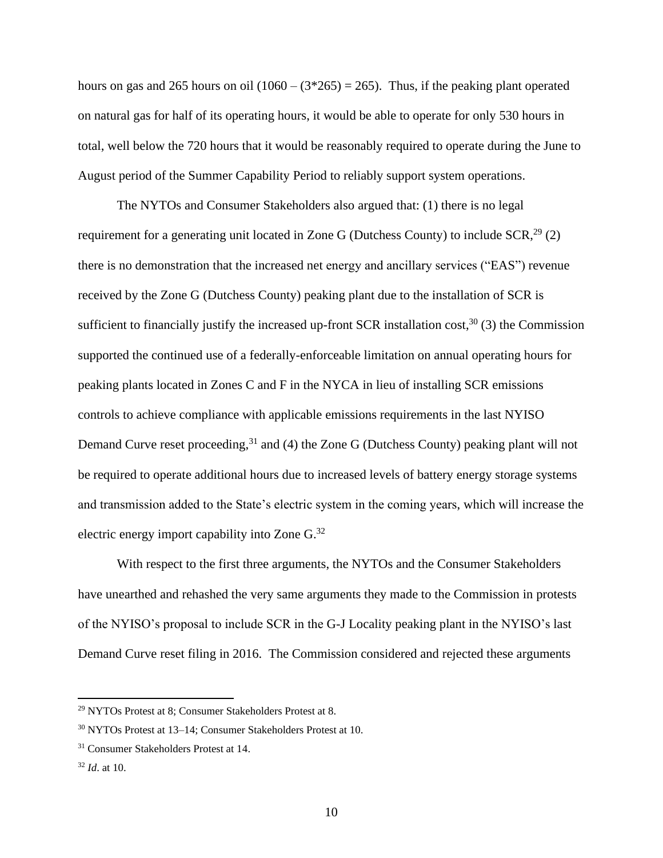hours on gas and 265 hours on oil  $(1060 - (3*265) = 265)$ . Thus, if the peaking plant operated on natural gas for half of its operating hours, it would be able to operate for only 530 hours in total, well below the 720 hours that it would be reasonably required to operate during the June to August period of the Summer Capability Period to reliably support system operations.

The NYTOs and Consumer Stakeholders also argued that: (1) there is no legal requirement for a generating unit located in Zone G (Dutchess County) to include  $SCR<sup>29</sup>$  (2) there is no demonstration that the increased net energy and ancillary services ("EAS") revenue received by the Zone G (Dutchess County) peaking plant due to the installation of SCR is sufficient to financially justify the increased up-front SCR installation  $cost<sub>1</sub><sup>30</sup>$  (3) the Commission supported the continued use of a federally-enforceable limitation on annual operating hours for peaking plants located in Zones C and F in the NYCA in lieu of installing SCR emissions controls to achieve compliance with applicable emissions requirements in the last NYISO Demand Curve reset proceeding,<sup>31</sup> and (4) the Zone G (Dutchess County) peaking plant will not be required to operate additional hours due to increased levels of battery energy storage systems and transmission added to the State's electric system in the coming years, which will increase the electric energy import capability into Zone G.<sup>32</sup>

With respect to the first three arguments, the NYTOs and the Consumer Stakeholders have unearthed and rehashed the very same arguments they made to the Commission in protests of the NYISO's proposal to include SCR in the G-J Locality peaking plant in the NYISO's last Demand Curve reset filing in 2016. The Commission considered and rejected these arguments

<sup>29</sup> NYTOs Protest at 8; Consumer Stakeholders Protest at 8.

<sup>30</sup> NYTOs Protest at 13–14; Consumer Stakeholders Protest at 10.

<sup>31</sup> Consumer Stakeholders Protest at 14.

<sup>32</sup> *Id*. at 10.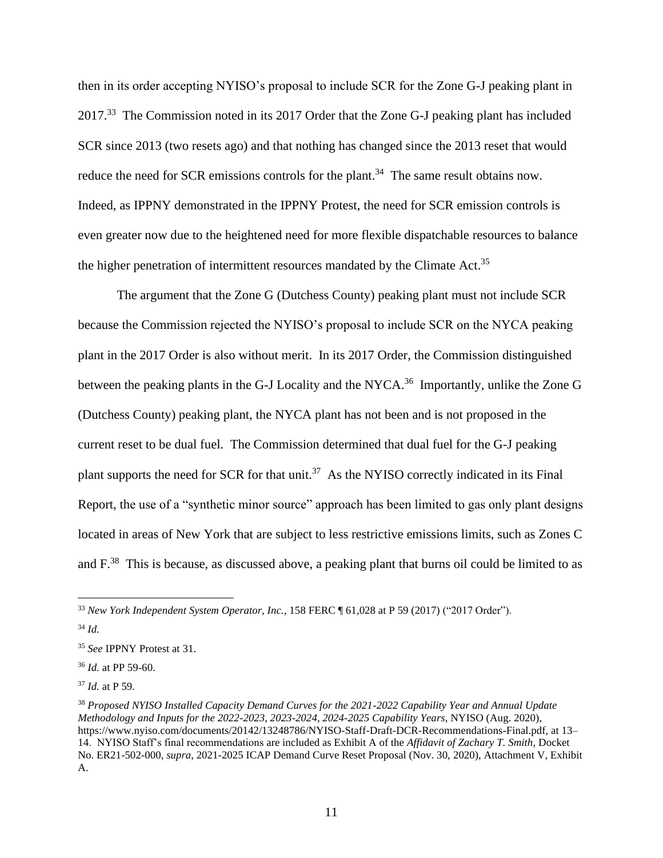then in its order accepting NYISO's proposal to include SCR for the Zone G-J peaking plant in 2017.<sup>33</sup> The Commission noted in its 2017 Order that the Zone G-J peaking plant has included SCR since 2013 (two resets ago) and that nothing has changed since the 2013 reset that would reduce the need for SCR emissions controls for the plant.<sup>34</sup> The same result obtains now. Indeed, as IPPNY demonstrated in the IPPNY Protest, the need for SCR emission controls is even greater now due to the heightened need for more flexible dispatchable resources to balance the higher penetration of intermittent resources mandated by the Climate Act.<sup>35</sup>

The argument that the Zone G (Dutchess County) peaking plant must not include SCR because the Commission rejected the NYISO's proposal to include SCR on the NYCA peaking plant in the 2017 Order is also without merit. In its 2017 Order, the Commission distinguished between the peaking plants in the G-J Locality and the NYCA.<sup>36</sup> Importantly, unlike the Zone G (Dutchess County) peaking plant, the NYCA plant has not been and is not proposed in the current reset to be dual fuel. The Commission determined that dual fuel for the G-J peaking plant supports the need for SCR for that unit.<sup>37</sup> As the NYISO correctly indicated in its Final Report, the use of a "synthetic minor source" approach has been limited to gas only plant designs located in areas of New York that are subject to less restrictive emissions limits, such as Zones C and  $F^{38}$  This is because, as discussed above, a peaking plant that burns oil could be limited to as

<sup>33</sup> *New York Independent System Operator, Inc.,* 158 FERC ¶ 61,028 at P 59 (2017) ("2017 Order").

<sup>34</sup> *Id.*

<sup>35</sup> *See* IPPNY Protest at 31.

<sup>36</sup> *Id.* at PP 59-60.

<sup>37</sup> *Id.* at P 59.

<sup>38</sup> *Proposed NYISO Installed Capacity Demand Curves for the 2021-2022 Capability Year and Annual Update Methodology and Inputs for the 2022-2023, 2023-2024, 2024-2025 Capability Years*, NYISO (Aug. 2020), https://www.nyiso.com/documents/20142/13248786/NYISO-Staff-Draft-DCR-Recommendations-Final.pdf, at 13– 14. NYISO Staff's final recommendations are included as Exhibit A of the *Affidavit of Zachary T. Smith*, Docket No. ER21-502-000, *supra*, 2021-2025 ICAP Demand Curve Reset Proposal (Nov. 30, 2020), Attachment V, Exhibit A.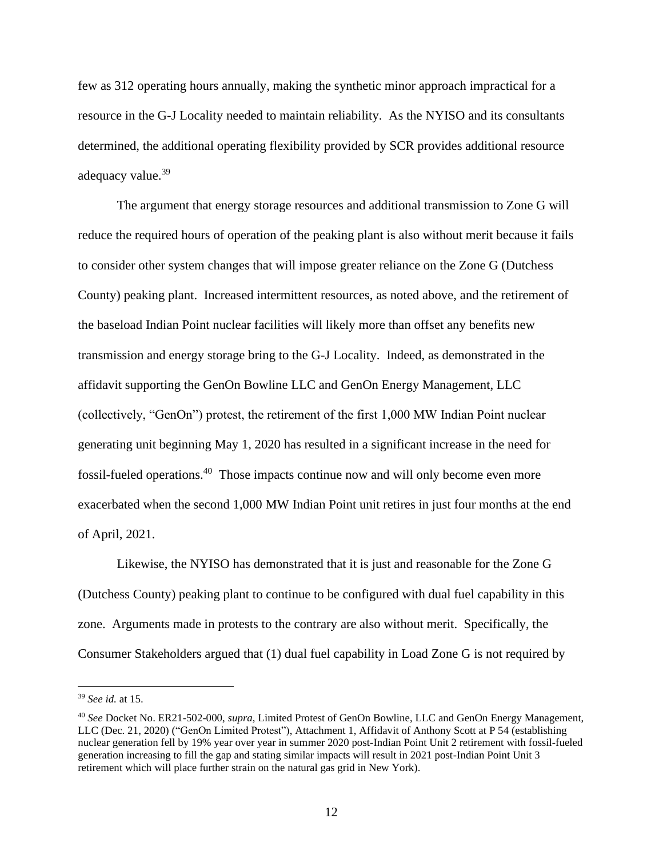few as 312 operating hours annually, making the synthetic minor approach impractical for a resource in the G-J Locality needed to maintain reliability. As the NYISO and its consultants determined, the additional operating flexibility provided by SCR provides additional resource adequacy value.<sup>39</sup>

The argument that energy storage resources and additional transmission to Zone G will reduce the required hours of operation of the peaking plant is also without merit because it fails to consider other system changes that will impose greater reliance on the Zone G (Dutchess County) peaking plant. Increased intermittent resources, as noted above, and the retirement of the baseload Indian Point nuclear facilities will likely more than offset any benefits new transmission and energy storage bring to the G-J Locality. Indeed, as demonstrated in the affidavit supporting the GenOn Bowline LLC and GenOn Energy Management, LLC (collectively, "GenOn") protest, the retirement of the first 1,000 MW Indian Point nuclear generating unit beginning May 1, 2020 has resulted in a significant increase in the need for fossil-fueled operations.<sup>40</sup> Those impacts continue now and will only become even more exacerbated when the second 1,000 MW Indian Point unit retires in just four months at the end of April, 2021.

Likewise, the NYISO has demonstrated that it is just and reasonable for the Zone G (Dutchess County) peaking plant to continue to be configured with dual fuel capability in this zone. Arguments made in protests to the contrary are also without merit. Specifically, the Consumer Stakeholders argued that (1) dual fuel capability in Load Zone G is not required by

<sup>39</sup> *See id.* at 15.

<sup>40</sup> *See* Docket No. ER21-502-000, *supra*, Limited Protest of GenOn Bowline, LLC and GenOn Energy Management, LLC (Dec. 21, 2020) ("GenOn Limited Protest"), Attachment 1, Affidavit of Anthony Scott at P 54 (establishing nuclear generation fell by 19% year over year in summer 2020 post-Indian Point Unit 2 retirement with fossil-fueled generation increasing to fill the gap and stating similar impacts will result in 2021 post-Indian Point Unit 3 retirement which will place further strain on the natural gas grid in New York).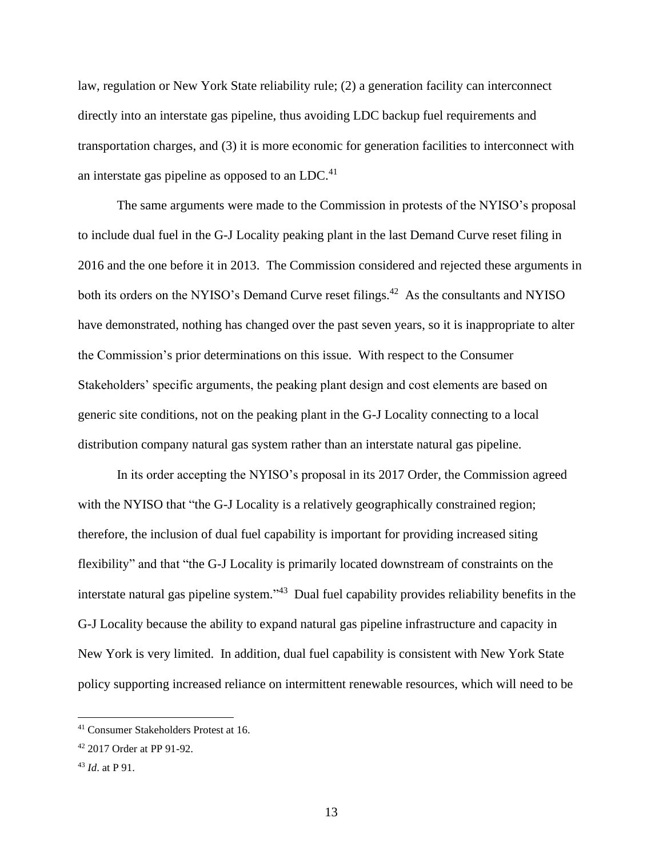law, regulation or New York State reliability rule; (2) a generation facility can interconnect directly into an interstate gas pipeline, thus avoiding LDC backup fuel requirements and transportation charges, and (3) it is more economic for generation facilities to interconnect with an interstate gas pipeline as opposed to an LDC. $41$ 

The same arguments were made to the Commission in protests of the NYISO's proposal to include dual fuel in the G-J Locality peaking plant in the last Demand Curve reset filing in 2016 and the one before it in 2013. The Commission considered and rejected these arguments in both its orders on the NYISO's Demand Curve reset filings.<sup>42</sup> As the consultants and NYISO have demonstrated, nothing has changed over the past seven years, so it is inappropriate to alter the Commission's prior determinations on this issue. With respect to the Consumer Stakeholders' specific arguments, the peaking plant design and cost elements are based on generic site conditions, not on the peaking plant in the G-J Locality connecting to a local distribution company natural gas system rather than an interstate natural gas pipeline.

In its order accepting the NYISO's proposal in its 2017 Order, the Commission agreed with the NYISO that "the G-J Locality is a relatively geographically constrained region; therefore, the inclusion of dual fuel capability is important for providing increased siting flexibility" and that "the G-J Locality is primarily located downstream of constraints on the interstate natural gas pipeline system." <sup>43</sup> Dual fuel capability provides reliability benefits in the G-J Locality because the ability to expand natural gas pipeline infrastructure and capacity in New York is very limited. In addition, dual fuel capability is consistent with New York State policy supporting increased reliance on intermittent renewable resources, which will need to be

<sup>41</sup> Consumer Stakeholders Protest at 16.

<sup>42</sup> 2017 Order at PP 91-92.

<sup>43</sup> *Id*. at P 91.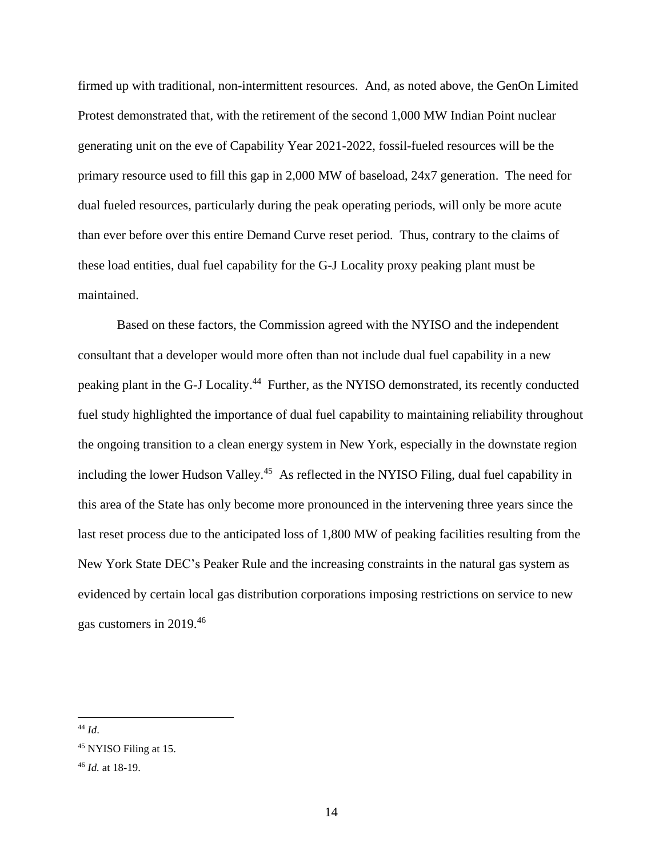firmed up with traditional, non-intermittent resources. And, as noted above, the GenOn Limited Protest demonstrated that, with the retirement of the second 1,000 MW Indian Point nuclear generating unit on the eve of Capability Year 2021-2022, fossil-fueled resources will be the primary resource used to fill this gap in 2,000 MW of baseload, 24x7 generation. The need for dual fueled resources, particularly during the peak operating periods, will only be more acute than ever before over this entire Demand Curve reset period. Thus, contrary to the claims of these load entities, dual fuel capability for the G-J Locality proxy peaking plant must be maintained.

Based on these factors, the Commission agreed with the NYISO and the independent consultant that a developer would more often than not include dual fuel capability in a new peaking plant in the G-J Locality.<sup>44</sup> Further, as the NYISO demonstrated, its recently conducted fuel study highlighted the importance of dual fuel capability to maintaining reliability throughout the ongoing transition to a clean energy system in New York, especially in the downstate region including the lower Hudson Valley.<sup>45</sup> As reflected in the NYISO Filing, dual fuel capability in this area of the State has only become more pronounced in the intervening three years since the last reset process due to the anticipated loss of 1,800 MW of peaking facilities resulting from the New York State DEC's Peaker Rule and the increasing constraints in the natural gas system as evidenced by certain local gas distribution corporations imposing restrictions on service to new gas customers in 2019. 46

<sup>44</sup> *Id*.

<sup>45</sup> NYISO Filing at 15.

<sup>46</sup> *Id.* at 18-19.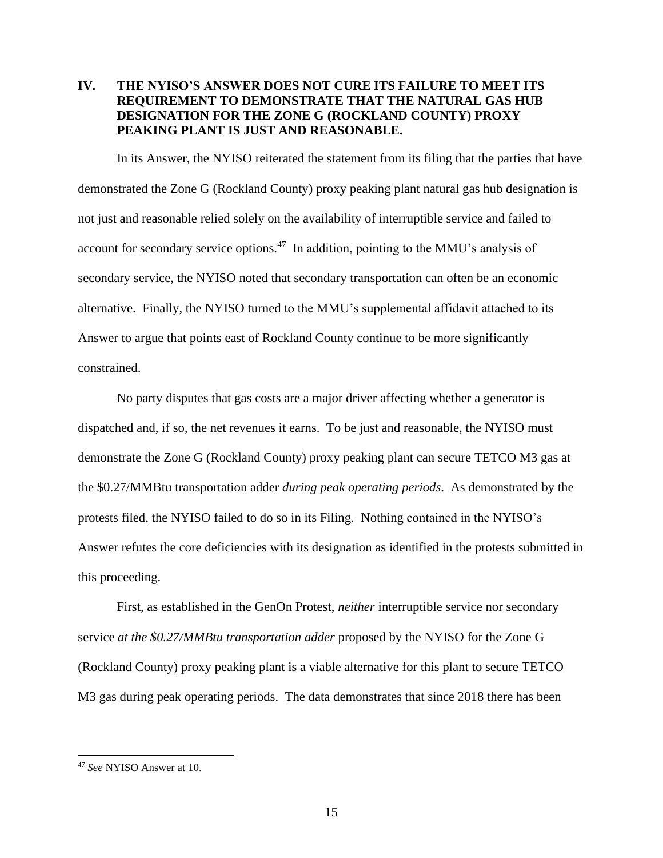# **IV. THE NYISO'S ANSWER DOES NOT CURE ITS FAILURE TO MEET ITS REQUIREMENT TO DEMONSTRATE THAT THE NATURAL GAS HUB DESIGNATION FOR THE ZONE G (ROCKLAND COUNTY) PROXY PEAKING PLANT IS JUST AND REASONABLE.**

In its Answer, the NYISO reiterated the statement from its filing that the parties that have demonstrated the Zone G (Rockland County) proxy peaking plant natural gas hub designation is not just and reasonable relied solely on the availability of interruptible service and failed to account for secondary service options. $47$  In addition, pointing to the MMU's analysis of secondary service, the NYISO noted that secondary transportation can often be an economic alternative. Finally, the NYISO turned to the MMU's supplemental affidavit attached to its Answer to argue that points east of Rockland County continue to be more significantly constrained.

No party disputes that gas costs are a major driver affecting whether a generator is dispatched and, if so, the net revenues it earns. To be just and reasonable, the NYISO must demonstrate the Zone G (Rockland County) proxy peaking plant can secure TETCO M3 gas at the \$0.27/MMBtu transportation adder *during peak operating periods*. As demonstrated by the protests filed, the NYISO failed to do so in its Filing. Nothing contained in the NYISO's Answer refutes the core deficiencies with its designation as identified in the protests submitted in this proceeding.

First, as established in the GenOn Protest, *neither* interruptible service nor secondary service *at the \$0.27/MMBtu transportation adder* proposed by the NYISO for the Zone G (Rockland County) proxy peaking plant is a viable alternative for this plant to secure TETCO M3 gas during peak operating periods. The data demonstrates that since 2018 there has been

<sup>47</sup> *See* NYISO Answer at 10.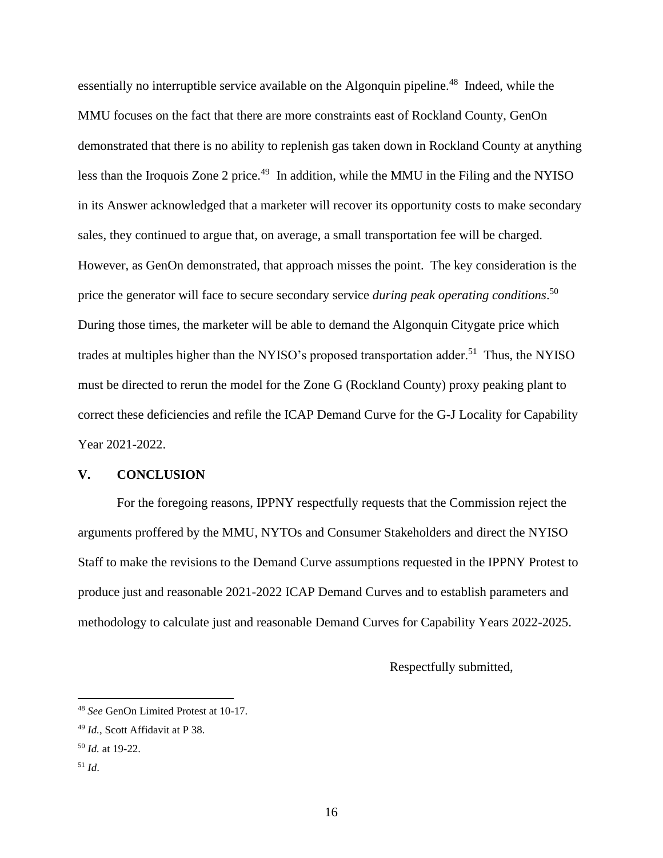essentially no interruptible service available on the Algonquin pipeline.<sup>48</sup> Indeed, while the MMU focuses on the fact that there are more constraints east of Rockland County, GenOn demonstrated that there is no ability to replenish gas taken down in Rockland County at anything less than the Iroquois Zone 2 price.<sup>49</sup> In addition, while the MMU in the Filing and the NYISO in its Answer acknowledged that a marketer will recover its opportunity costs to make secondary sales, they continued to argue that, on average, a small transportation fee will be charged. However, as GenOn demonstrated, that approach misses the point. The key consideration is the price the generator will face to secure secondary service *during peak operating conditions*. 50 During those times, the marketer will be able to demand the Algonquin Citygate price which trades at multiples higher than the NYISO's proposed transportation adder.<sup>51</sup> Thus, the NYISO must be directed to rerun the model for the Zone G (Rockland County) proxy peaking plant to correct these deficiencies and refile the ICAP Demand Curve for the G-J Locality for Capability Year 2021-2022.

#### **V. CONCLUSION**

For the foregoing reasons, IPPNY respectfully requests that the Commission reject the arguments proffered by the MMU, NYTOs and Consumer Stakeholders and direct the NYISO Staff to make the revisions to the Demand Curve assumptions requested in the IPPNY Protest to produce just and reasonable 2021-2022 ICAP Demand Curves and to establish parameters and methodology to calculate just and reasonable Demand Curves for Capability Years 2022-2025.

Respectfully submitted,

<sup>48</sup> *See* GenOn Limited Protest at 10-17.

<sup>49</sup> *Id.*, Scott Affidavit at P 38.

<sup>50</sup> *Id.* at 19-22.

<sup>51</sup> *Id*.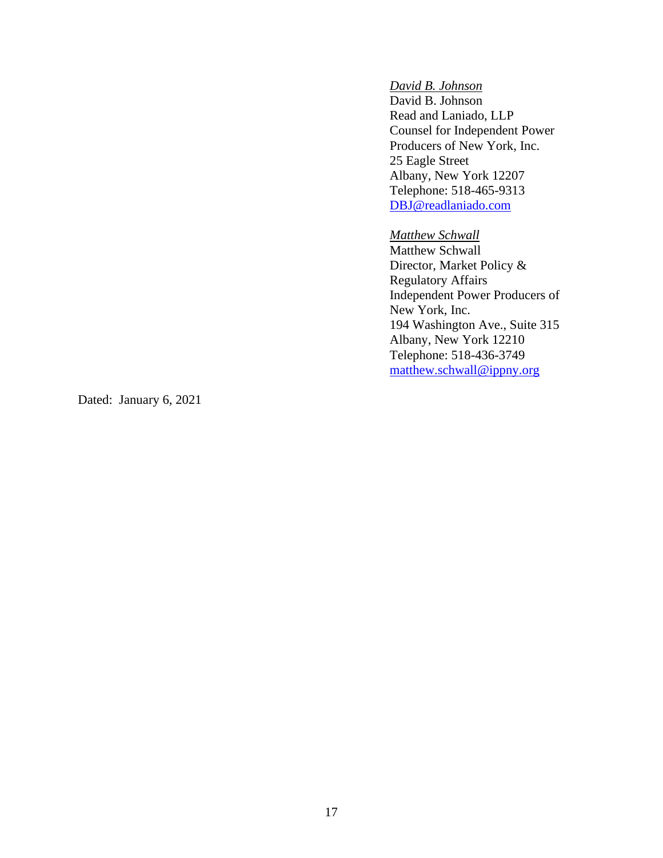# *David B. Johnson*

David B. Johnson Read and Laniado, LLP Counsel for Independent Power Producers of New York, Inc. 25 Eagle Street Albany, New York 12207 Telephone: 518-465-9313 [DBJ@readlaniado.com](mailto:DBJ@readlaniado.com)

#### *Matthew Schwall*

Matthew Schwall Director, Market Policy & Regulatory Affairs Independent Power Producers of New York, Inc. 194 Washington Ave., Suite 315 Albany, New York 12210 Telephone: 518-436-3749 [matthew.schwall@ippny.org](mailto:matthew.schwall@ippny.org)

Dated: January 6, 2021